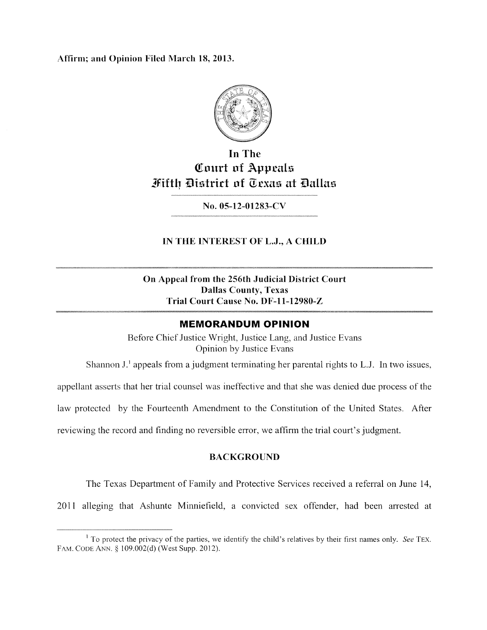Affirm; and Opinion Filed March 18, 2013.



## In The Court of Appeals Mifth District of Oexas at Dallas

No. 05-12-01283-CV

## IN THE INTEREST OF L.J., A CHiLD

On Appeal from the 256th Judicial District Court Dallas County, Texas Trial Court Cause No. DF-11-12980-Z

## MEMORANDUM OPINION

Before Chief Justice Wright, Justice Lang, and Justice Evans Opinion by Justice Evans

Shannon  $J<sup>T</sup>$  appeals from a judgment terminating her parental rights to L.J. In two issues,

appellant asserts that her trial counsel was ineffective and that she was denied due process of the

law protected by the Fourteenth Amendment to the Constitution of the United States. After

reviewing the record and finding no reversible error, we affirm the trial court's judgment.

### BACKGROUND

The Texas Department of Family and Protective Services received a referral on June 14,

2011 alleging that Ashunte Minniefield, a convicted sex offender, had been arrested at

 $\frac{1}{1}$  To protect the privacy of the parties, we identify the child's relatives by their first names only. See TEX. FAM. CODE ANN. § 109.002(d) (West Supp. 2012).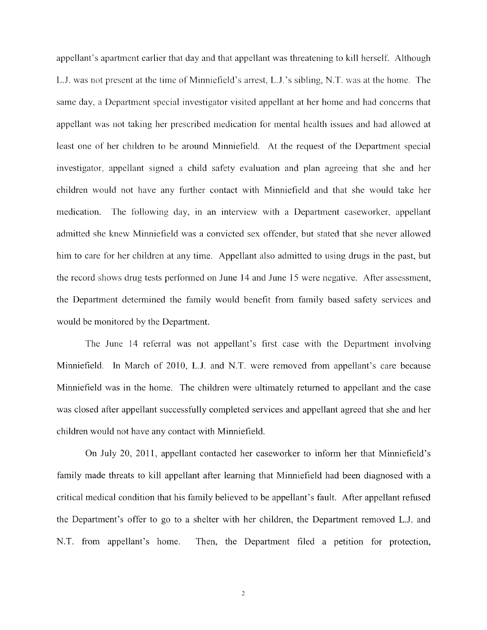appellant's apartment earlier that day and that appellant was threatening to kill herself. Although Li. was not present at the time of Minniefield's arrest, LJ.'s sibling, N.T. was at the home, The same day, a Department special investigator visited appellant at her home and had concerns that appellant was not taking her prescribed medication for mental health issues and had allowed at least one of her children to be around Minniefield. At the request of the Department special investigator, appellant signed a child safety evaluation and plan agreeing that she and her children would not have any further contact with Minniefield and that she would take her medication. The following day, in an interview with a Department caseworker, appellant admitted she knew Minniefield was a convicted sex offender, but stated that she never allowed him to care for her children at any time. Appellant also admitted to using drugs in the past, but the record shows drug tests performed on June 14 and June 15 were negative. After assessment, the Department determined the family would benefit from family based safety services and would be monitored by the Department.

The June 14 referral was not appellant's first case with the Department involving Minniefield. In March of 2010, L.J. and N.T. were removed from appellant's care because Minniefield was in the home. The children were ultimately returned to appellant and the case was closed after appellant successfully completed services and appellant agreed that she and her children would not have any contact with Minniefield.

On July 20, 2011, appellant contacted her caseworker to inform her that Minniefield's family made threats to kill appellant after learning that Minniefield had been diagnosed with a critical medical condition that his family believed to be appellant's fault. After appellant refused the Department's offer to go to a shelter with her children, the Department removed L.J. and N.T. from appellant's home. Then, the Department filed a petition for protection,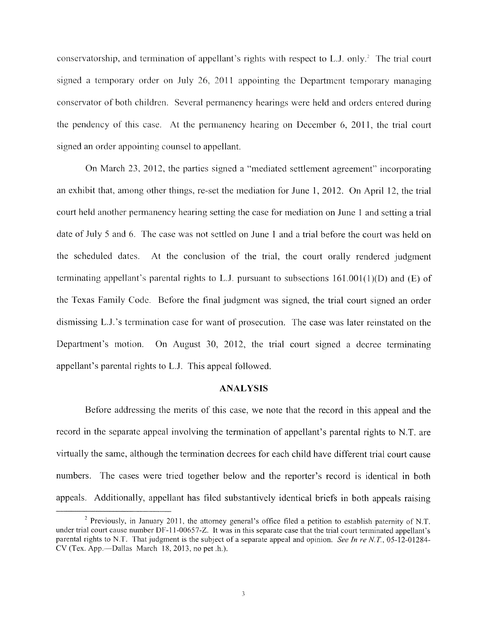conservatorship, and termination of appellant's rights with respect to L.J. only.<sup>2</sup> The trial court signed a temporary order on July 26, 2011 appointing the Department temporary managing conservator of both children. Several permanency hearings were held and orders entered during the pendency of this case. At the permanency hearing on December 6, 2011, the trial court signed an order appointing counsel to appellant.

On March 23, 2012, the parties signed a "mediated settlement agreement" incorporating an exhibit that, among other things, re-set the mediation for June 1, 2012. On April 12, the trial court held another permanency hearing setting the case for mediation on June <sup>1</sup> and setting a trial date of July <sup>5</sup> and 6. The case was not settled on June <sup>1</sup> and a trial before the court was held on the scheduled dates. At the conclusion of the trial, the court orally rendered judgment terminating appellant's parental rights to L.J. pursuant to subsections  $161.001(1)(D)$  and (E) of the Texas Family Code. Before the final judgment was signed, the trial court signed an order dismissing L.J.'s termination case for want of prosecution. The case was later reinstated on the Department's motion. On August 30, 2012, the trial court signed a decree terminating appellant's parental rights to L.J. This appeal followed.

#### ANALYSIS

Before addressing the merits of this case, we note that the record in this appeal and the record in the separate appeal involving the termination of appellant's parental rights to N.T. are virtually the same, although the termination decrees for each child have different trial court cause numbers. The cases were tried together below and the reporter's record is identical in both appeals. Additionally, appellant has filed substantively identical briefs in both appeals raising

<sup>&</sup>lt;sup>2</sup> Previously, in January 2011, the attorney general's office filed a petition to establish paternity of N.T. under trial court cause number DF-l l-00657-Z. It was in this separate case that the trial court terminated appellant's parental rights to N.T. That judgment is the subject of a separate appeal and opinion. See In re N.T., 05-12-01284-CV (Tex. App—Dallas March 18, 2013, no pet .h.).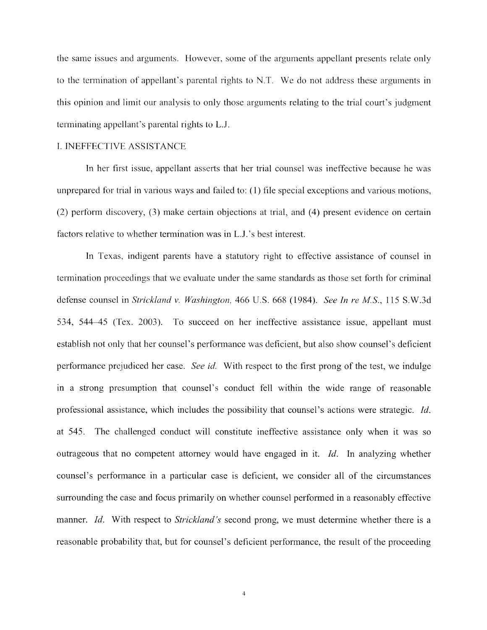the same issues and arguments. However, some of the arguments appellant presents relate only to the termination of appellant's parental rights to NT. We do not address these arguments in this opinion and limit our analysis to only those arguments relating to the trial court's judgment terminating appellant's parental rights to L.J.

#### I. INEFFECTIVE ASSiSTANCE

In her first issue, appellant asserts that her trial counsel was ineffective because he was unprepared for trial in various ways and failed to: (1) file special exceptions and various motions, (2) perform discovery, (3) make certain objections at trial, and (4) present evidence on certain factors relative to whether termination was in L.J.'s best interest.

In Texas, indigent parents have a statutory right to effective assistance of counsel in termination proceedings that we evaluate under the same standards as those set forth for criminal defense counsel in Strickland v. Washington, 466 U.S. 668 (1984). See In re M.S., 115 S.W.3d 534, 54445 (Tex. 2003). To succeed on her ineffective assistance issue, appellant must establish not only that her counsel's performance was deficient, but also show counsel's deficient performance prejudiced her case. See id. With respect to the first prong of the test, we indulge in a strong presumption that counsel's conduct fell within the wide range of reasonable professional assistance, which includes the possibility that counsel's actions were strategic. Id. at 545. The challenged conduct will constitute ineffective assistance only when it was so outrageous that no competent attorney would have engaged in it. Id. In analyzing whether counsel's performance in a particular case is deficient, we consider all of the circumstances surrounding the case and focus primarily on whether counsel performed in a reasonably effective manner. Id. With respect to Strickland's second prong, we must determine whether there is a reasonable probability that, but for counsel's deficient performance, the result of the proceeding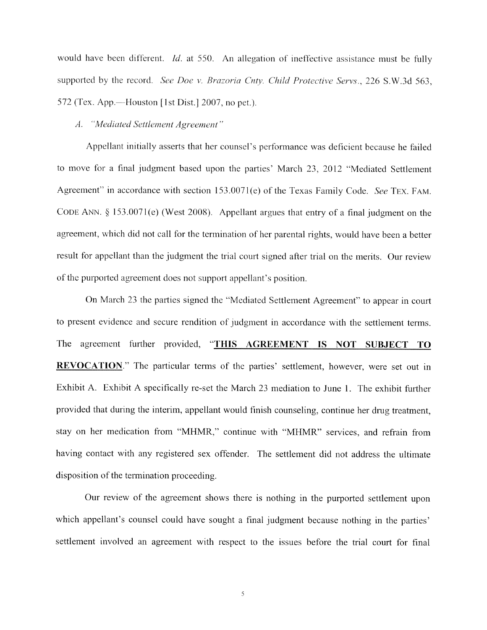would have been different. *Id.* at 550. An allegation of ineffective assistance must be fully supported by the record. See Doe v. Brazoria Cnty. Child Protective Servs., 226 S.W.3d 563,  $572$  (Tex. App.—Houston [1st Dist.] 2007, no pet.).

#### A. "Mediated Settlement Agreement"

Appellant initially asserts that her counsel's performance was deficient because he failed to move for a final judgment based upon the parties' March 23, 2012 "Mediated Settlement Agreement" in accordance with section 153.0071(e) of the Texas Family Code. See TEX. FAM. CODE ANN.  $\S$  153.0071(e) (West 2008). Appellant argues that entry of a final judgment on the agreement, which did not call for the termination of her parental rights, would have been a better result for appellant than the judgment the trial court signed after trial on the merits. Our review of the purported agreement does not support appellant's position.

On March 23 the parties signed the "Mediated Settlement Agreement" to appear in court to present evidence and secure rendition of judgment in accordance with the settlement terms. The agreement further provided, "THIS AGREEMENT IS NOT SUBJECT TO REVOCATION." The particular terms of the parties' settlement, however, were set out in Exhibit A. Exhibit A specifically re-set the March 23 mediation to June 1. The exhibit further provided that during the interim, appellant would finish counseling, continue her drug treatment, stay on her medication from "MFIMR," continue with "MHMR" services, and refrain from having contact with any registered sex offender. The settlement did not address the ultimate disposition of the termination proceeding.

Our review of the agreement shows there is nothing in the purported settlement upon which appellant's counsel could have sought a final judgment because nothing in the parties' settlement involved an agreement with respect to the issues before the trial court for final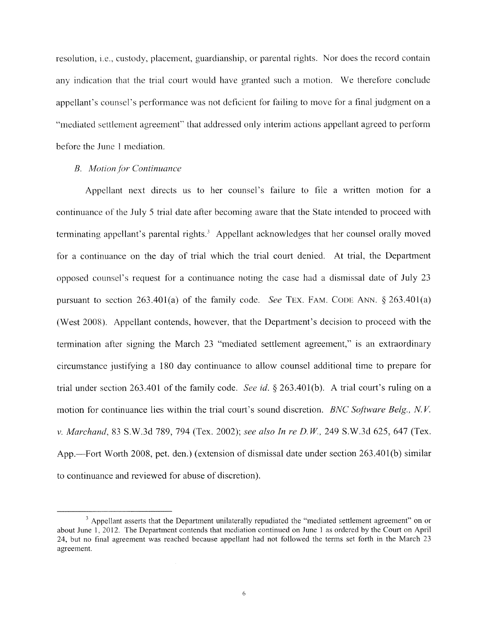resolution, i.e., custody, placement, guardianship, or parental rights. Nor does the record contain any indication that the trial court would have granted such a motion. We therefore conclude appellant's counsel's performance was not deficient for failing to move for a final judgment on a "mediated settlement agreement" that addressed only interim actions appellant agreed to perform before the June <sup>1</sup> mediation.

#### B. Motion for Continuance

Appellant next directs us to her counsel's failure to file a written motion for a continuance of the July <sup>5</sup> trial date after becoming aware that the State intended to proceed with terminating appellant's parental rights.<sup>3</sup> Appellant acknowledges that her counsel orally moved for a continuance on the day of trial which the trial court denied. At trial, the Department opposed counsel's request for a continuance noting the case had a dismissal date of July 23 pursuant to section  $263.401(a)$  of the family code. See TEX. FAM. CODE ANN. § 263.401(a) (West 2008). Appellant contends, however, that the Department's decision to proceed with the termination after signing the March 23 "mediated settlement agreement," is an extraordinary circumstance justifying a 180 day continuance to allow counsel additional time to prepare for trial under section 263.401 of the family code. See id. § 263.401(b). A trial court's ruling on a motion for continuance lies within the trial court's sound discretion. BNC Software Belg., N.V. v. Marchand, 83 S.W.3d 789, 794 (Tex. 2002); see also In re D. W, 249 S.W.3d 625, 647 (Tex. App.—Fort Worth 2008, pet. den.) (extension of dismissal date under section 263.40 1(b) similar to continuance and reviewed for abuse of discretion).

<sup>&</sup>lt;sup>3</sup> Appellant asserts that the Department unilaterally repudiated the "mediated settlement agreement" on or about June 1, 2012. The Department contends that mediation continued on June <sup>1</sup> as ordered by the Court on April 24, but no final agreement was reached because appellant had not followed the terms set forth in the March 23 agreement.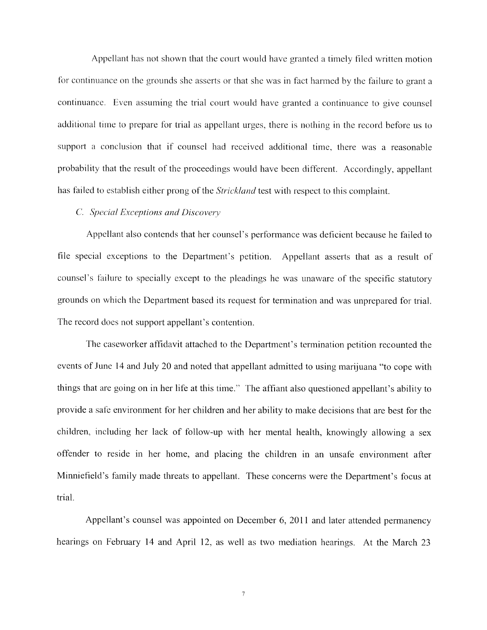Appellant has not shown that the court would have granted a timely filed written motion for continuance on the grounds she asserts or that she was in fact hanned by the failure to grant a continuance. Even assuming the trial court would have granted a continuance to give counsel additional time to prepare for trial as appellant urges, there is nothing in the record before us to support a conclusion that if counsel had received additional time, there was a reasonable probability that the result of the proceedings would have been different. Accordingly, appellant has failed to establish either prong of the *Strickland* test with respect to this complaint.

#### C. Special Exceptions and Discovery

Appellant also contends that her counsel's performance was deficient because he failed to file special exceptions to the Department's petition. Appellant asserts that as a result of counsel's failure to specially except to the pleadings he was unaware of the specific statutory grounds on which the Department based its request for tennination and was unprepared for trial. The record does not support appellant's contention.

The caseworker affidavit attached to the Department's termination petition recounted the events of June 14 and July 20 and noted that appellant admitted to using marijuana "to cope with things that are going on in her life at this time." The afflant also questioned appellant's ability to provide a safe environment for her children and her ability to make decisions that are best for the children, including her lack of follow-up with her mental health, knowingly allowing a sex offender to reside in her home, and placing the children in an unsafe environment after Minniefield's family made threats to appellant. These concerns were the Department's focus at trial.

Appellant's counsel was appointed on December 6, 2011 and later attended permanency hearings on February 14 and April 12, as well as two mediation hearings. At the March 23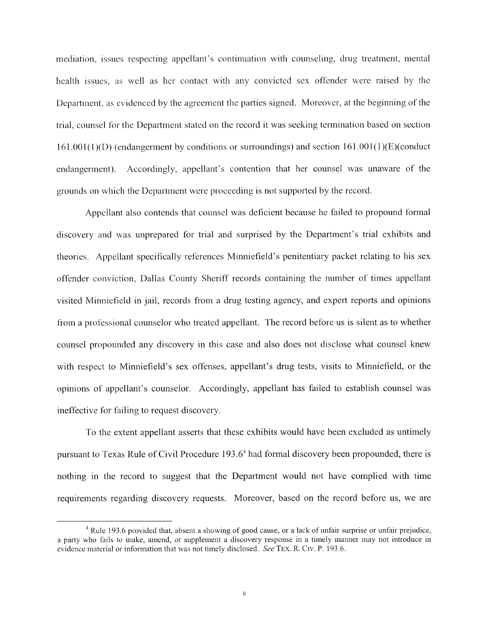mediation, issues respecting appellant's continuation with counseling, drug treatment, mental health issues, as well as her contact with any convicted sex offender were raised by the Department, as evidenced by the agreement the parties signed. Moreover, at the beginning of the trial, counsel for the Department stated on the record it was seeking termination based on section  $161.001(1)(D)$  (endangerment by conditions or surroundings) and section  $161.001(1)(E)$ (conduct endangerment). Accordingly, appellant's contention that her counsel was unaware of the grounds on which the Department were proceeding is not supported by the record.

Appellant also contends that counsel was deficient because he failed to propound formal discovery and was unprepared for trial and surprised by the Department's trial exhibits and theories. Appellant specifically references Minniefield's penitentiary packet relating to his sex offender conviction, Dallas County Sheriff records containing the number of times appellant visited Minniefield in jail, records from a drug testing agency, and expert reports and opinions from a professional counselor who treated appellant. The record before us is silent as to whether counsel propounded any discovery in this case and also does not disclose what counsel knew with respect to Minniefield's sex offenses, appellant's drug tests, visits to Minniefield, or the opinions of appellant's counselor. Accordingly, appellant has failed to establish counsel was ineffective for failing to request discovery.

To the extent appellant asserts that these exhibits would have been excluded as untimely pursuant to Texas Rule of Civil Procedure 193 .6 had fonnal discovery been propounded, there is nothing in the record to suggest that the Department would not have complied with time requirements regarding discovery requests. Moreover, based on the record before us, we are

<sup>&</sup>lt;sup>4</sup> Rule 193.6 provided that, absent a showing of good cause, or a lack of unfair surprise or unfair prejudice, a party who fails to make, amend, or supplement a discovery response in a timely manner may not introduce in evidence material or information that was not timely disclosed. See TEX. R. CIV. P. 193.6.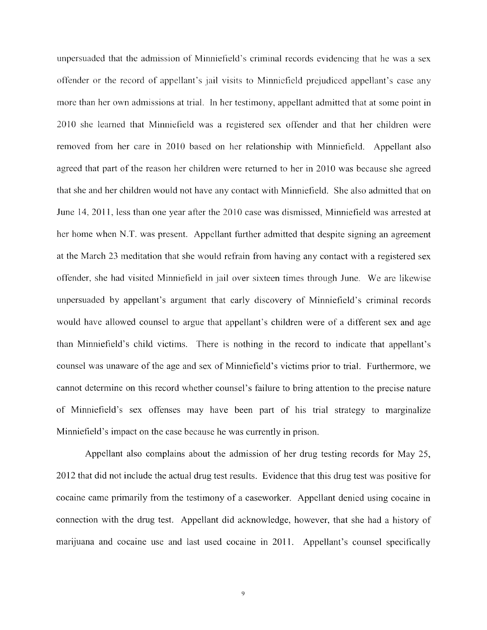unpersuaded that the admission of Minniefield's criminal records evidencing that he was a sex offender or the record of appellant's jail visits to Minnicfield prejudiced appellant's case any more than her own admissions at trial, In her testimony, appellant admitted that at some point in 2010 she learned that Minniefield was a registered sex offender and that her children were removed from her care in 2010 based on her relationship with Minniefield. Appellant also agreed that part of the reason her children were returned to her in 2010 was because she agreed that she and her children would not have any contact with Minniefleld. She also admitted that on June 14, 2011, less than one year after the 2010 case was dismissed, Minniefield was arrested at her home when N.T, was present. Appellant further admitted that despite signing an agreement at the March 23 meditation that she would refrain from having any contact with a registered sex offender, she had visited Minniefield in jail over sixteen times through June. We are likewise unpersuaded by appellant's argument that early discovery of Minniefield's criminal records would have allowed counsel to argue that appellant's children were of a different sex and age than Minniefield's child victims. There is nothing in the record to indicate that appellant's counsel was unaware of the age and sex of Minniefield's victims prior to trial. Furthermore, we cannot determine on this record whether counsel's failure to bring attention to the precise nature of Minniefield's sex offenses may have been part of his trial strategy to marginalize Minniefield's impact on the case because he was currently in prison.

Appellant also complains about the admission of her drug testing records for May 25, 2012 that did not include the actual drug test results. Evidence that this drug test was positive for cocaine came primarily from the testimony of a caseworker. Appellant denied using cocaine in connection with the drug test. Appellant did acknowledge, however, that she had a history of marijuana and cocaine use and last used cocaine in 2011. Appellant's counsel specifically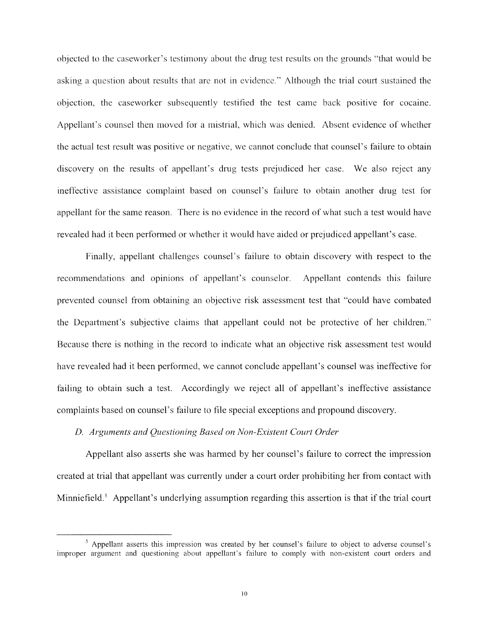objected to the caseworker's testimony about the drug test results on the grounds "that would be asking a question about results that are not in evidence." Although the trial court sustained the objection, the caseworker subsequently testified the test came back positive for cocaine. Appellant's counsel then moved for a mistrial, which was denied. Absent evidence of whether the actual test result was positive or negative, we cannot conclude that counsel's failure to obtain discovery on the results of appellant's drug tests prejudiced her case. We also reject any ineffective assistance complaint based on counsel's failure to obtain another drug test for appellant for the same reason. There is no evidence in the record of what such a test would have revealed had it been performed or whether it would have aided or prejudiced appellant's case.

Finally, appellant challenges counsel's failure to obtain discovery with respect to the recommendations and opinions of appellant's counselor. Appellant contends this failure prevented counsel from obtaining an objective risk assessment test that "could have combated the Department's subjective claims that appellant could not be protective of her children." Because there is nothing in the record to indicate what an objective risk assessment test would have revealed had it been performed, we cannot conclude appellant's counsel was ineffective for failing to obtain such a test. Accordingly we reject all of appellant's ineffective assistance complaints based on counsel's failure to file special exceptions and propound discovery.

#### D. Arguments and Questioning Based on Non-Existent Court Order

Appellant also asserts she was harmed by her counsel's failure to correct the impression created at trial that appellant was currently under a court order prohibiting her from contact with D. Arguments and Questioning Based on Non-Existent Court Order<br>Appellant also asserts she was harmed by her counsel's failure to correct the impression<br>created at trial that appellant was currently under a court order proh

<sup>&</sup>lt;sup>5</sup> Appellant asserts this impression was created by her counsel's failure to object to adverse counsel's improper argument and questioning about appellant's failure to comply with non-existent court orders and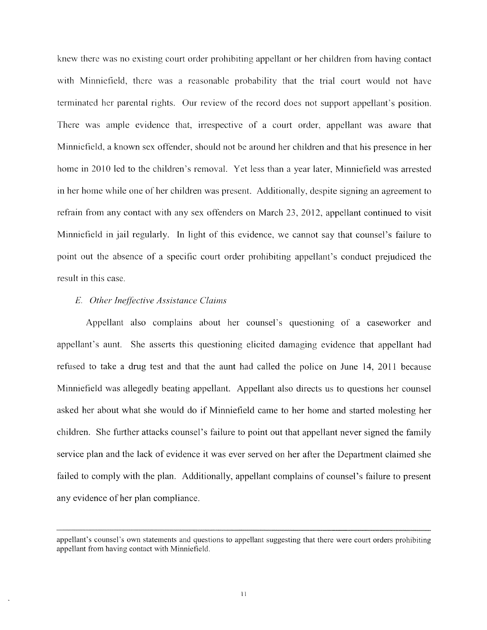knew there was no existing court order prohibiting appellant or her children from having contact with Minniefield, there was a reasonable probability that the trial court would not have terminated her parental rights. Our review of the record does not support appellant's position. There was ample evidence that, irrespective of a court order, appellant was aware that Minniefield, a known sex offender, should not be around her children and that his presence in her home in 2010 led to the children's removal. Yet less than a year later, Minniefield was arrested in her home while one of her children was present. Additionally, despite signing an agreement to refrain from any contact with any sex offenders on March 23, 2012, appellant continued to visit Minniefield in jail regularly. In light of this evidence, we cannot say that counsel's failure to point out the absence of a specific court order prohibiting appellant's conduct prejudiced the result in this case.

#### E. Other Ineffective Assistance Claims

Appellant also complains about her counsel's questioning of a caseworker and appellant's aunt. She asserts this questioning elicited damaging evidence that appellant had refused to take a drug test and that the aunt had called the police on June 14, 2011 because Minniefield was allegedly beating appellant. Appellant also directs us to questions her counsel asked her about what she would do if Minniefield came to her home and started molesting her children. She further attacks counsel's failure to point out that appellant never signed the family service plan and the lack of evidence it was ever served on her after the Department claimed she failed to comply with the plan. Additionally, appellant complains of counsel's failure to present any evidence of her plan compliance.

appellant's counsel's own statements and questions to appellant suggesting that there were court orders prohibiting appellant from having contact with Minniefield.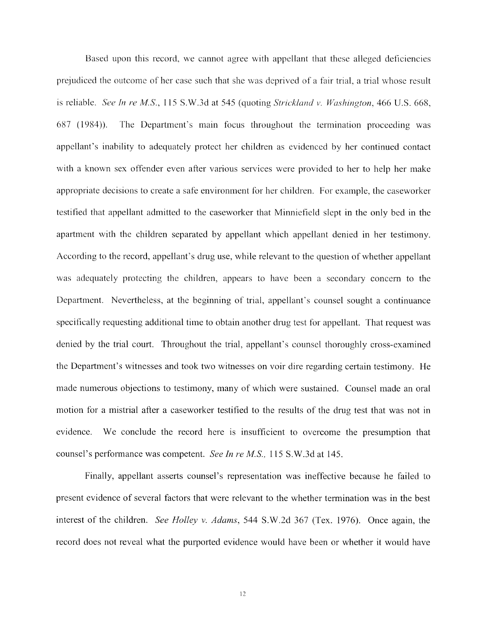Based upon this record, we cannot agree with appellant that these alleged deficiencies prejudiced the outcome of her case such that she was deprived of a fair trial, a trial whose result is reliable. See In re M.S., 115 S.W.3d at 545 (quoting Strickland v. Washington, 466 U.S. 668, 687 (1984)). The Department's main focus throughout the termination proceeding was appellant's inability to adequately protect her children as evidenced by her continued contact with a known sex offender even after various services were provided to her to help her make appropriate decisions to create a safe environment for her children. For example, the caseworker testified that appellant admitted to the caseworker that Minniefield slept in the only bed in the apartment with the children separated by appellant which appellant denied in her testimony. According to the record, appellant's drug use, while relevant to the question of whether appellant was adequately protecting the children, appears to have been a secondary concern to the Department. Nevertheless, at the beginning of trial, appellant's counsel sought a continuance specifically requesting additional time to obtain another drug test for appellant. That request was denied by the trial court. Throughout the trial, appellant's counsel thoroughly cross-examined the Department's witnesses and took two witnesses on voir dire regarding certain testimony. He made numerous objections to testimony, many of which were sustained. Counsel made an oral motion for a mistrial after a caseworker testified to the results of the drug test that was not in evidence. We conclude the record here is insufficient to overcome the presumption that counsel's performance was competent. See In re M.S., 115 S.W.3d at 145.

Finally, appellant asserts counsel's representation was ineffective because he failed to present evidence of several factors that were relevant to the whether termination was in the best interest of the children. See Holley v. Adams, 544 S.W.2d 367 (Tex. 1976). Once again, the record does not reveal what the purported evidence would have been or whether it would have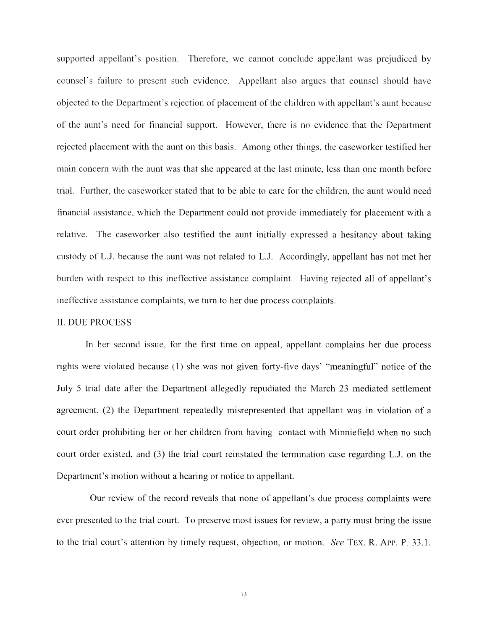supported appellant's position. Therefore, we cannot conclude appellant was prejudiced by counsel's failure to present such evidence. Appellant also argues that counsel should have objected to the Department's rejection of placement of the children with appellant's aunt because of the aunt's need for financial support. However, there is no evidence that the Department rejected placement with the aunt on this basis. Among other things, the caseworker testified her main concern with the aunt was that she appeared at the last minute, less than one month before trial. Further, the caseworker stated that to be able to care for the children, the aunt would need financial assistance, which the Department could not provide immediately for placement with a relative. The caseworker also testified the aunt initially expressed a hesitancy about taking custody of Li. because the aunt was not related to Li. Accordingly, appellant has not met her burden with respect to this ineffective assistance complaint. Having rejected all of appellant's ineffective assistance complaints, we turn to her due process complaints.

#### 11. DUE PROCESS

In her second issue, for the first time on appeal, appellant complains her due process rights were violated because (1) she was not given forty-five days' "meaningful" notice of the July <sup>5</sup> trial date after the Department allegedly repudiated the March 23 mediated settlement agreement, (2) the Department repeatedly misrepresented that appellant was in violation of a court order prohibiting her or her children from having contact with Minniefield when no such court order existed, and (3) the trial court reinstated the termination case regarding L.J. on the Department's motion without a hearing or notice to appellant.

Our review of the record reveals that none of appellant's due process complaints were ever presented to the trial court. To preserve most issues for review, a party must bring the issue to the trial court's attention by timely request, objection, or motion. See TEx. R. App. P. 33.1.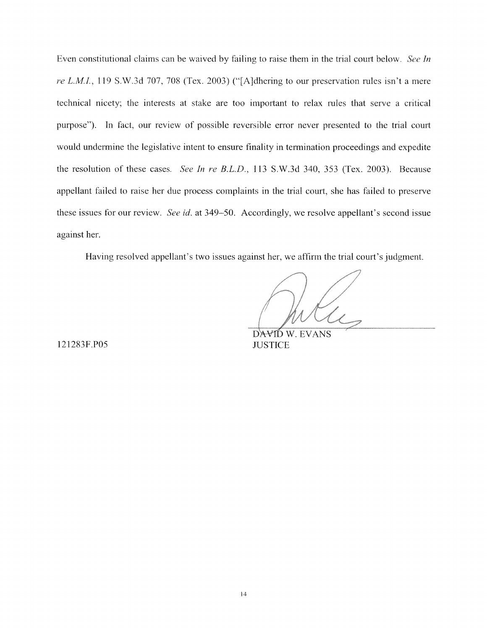Even constitutional claims can be waived by failing to raise them in the trial court below. See In re L.M.I., 119 S.W.3d 707, 708 (Tex. 2003) ("[A]dhering to our preservation rules isn't a mere technical nicety; the interests at stake are too important to relax rules that serve a critical purpose"). In fact, our review of possible reversible error never presented to the trial court would undermine the legislative intent to ensure finality in termination proceedings and expedite the resolution of these cases. See In re B.L.D., 113 S.W.3d 340, 353 (Tex. 2003). Because appellant failed to raise her due process complaints in the trial court, she has failed to preserve these issues for our review. See id. at 349–50. Accordingly, we resolve appellant's second issue against her.

Having resolved appellant's two issues against her, we affirm the trial court's judgment.

121283F.P05

DAVID W. EVANS **JUSTICE**